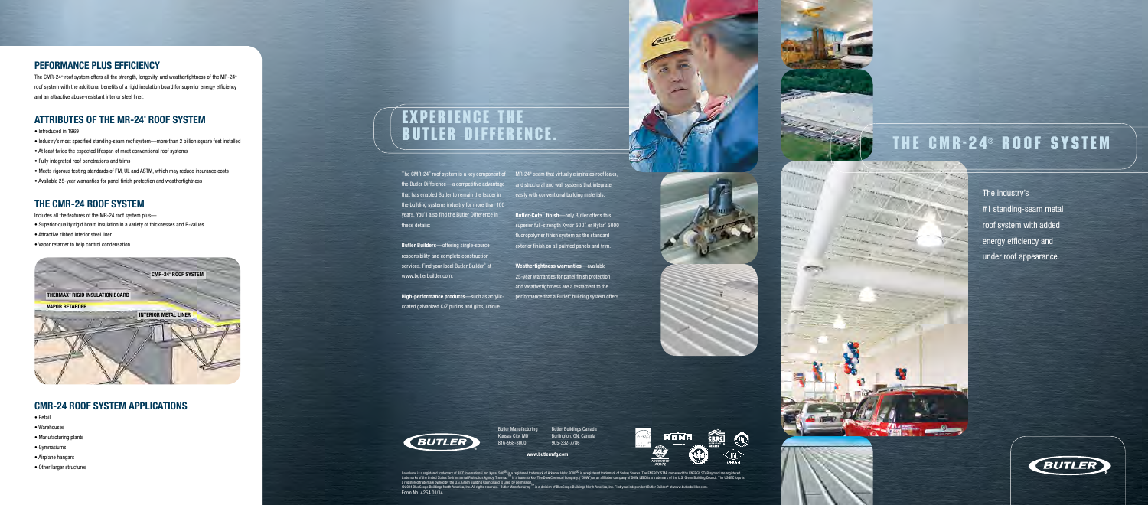Butler Manufacturing Kansas City, MO 816-968-3000

www.butlermfg.com

Butler Buildings Canada Burlington, ON, Canada 905-332-7786



Galvalume is a registered trademark of BIEC International Inc. Kynar 500® is a registered trademark of Arkema. Hylar 5000® is a registered trademark of Solvay Solexis. The ENERGY STAR name and the ENERGY STAR symbol are re Form No. 4254 01/14









The CMR-24<sup>®</sup> roof system is a key component of MR-24<sup>®</sup> seam that virtually eliminates roof leaks, the Butler Difference—a competitive advantage and structural and wall systems that integrate that has enabled Butler to remain the leader in the building systems industry for more than 100 years. You'll also find the Butler Difference in these details:

The CMR-24<sup>®</sup> roof system offers all the strength, longevity, and weathertightness of the MR-24<sup>®</sup> roof system with the additional benefits of a rigid insulation board for superior energy efficiency and an attractive abuse-resistant interior steel liner.

# ATTRIBUTES OF THE MR-24˚ ROOF SYSTEM

Butler Builders—offering single-source responsibility and complete construction services. Find your local Butler Builder® at www.butlerbuilder.com.

High-performance products—such as acrylic-

coated galvanized C/Z purlins and girts, unique



# The CMR-24® Roof System

# Peformance plus efficiency

Butler-Cote<sup>™</sup> finish—only Butler offers this superior full-strength Kynar 500® or Hylar® 5000 fluoropolymer finish system as the standard exterior finish on all painted panels and trim.

- Introduced in 1969
- Industry's most specified standing-seam roof system—more than 2 billion square feet installed
- At least twice the expected lifespan of most conventional roof systems
- Fully integrated roof penetrations and trims
- Meets rigorous testing standards of FM, UL and ASTM, which may reduce insurance costs
- Available 25-year warranties for panel finish protection and weathertightness

## The CMR-24 roof system

Includes all the features of the MR-24 roof system plus—

- Superior-quality rigid board insulation in a variety of thicknesses and R-values
- Attractive ribbed interior steel liner
- Vapor retarder to help control condensation

# CMR-24 roof system applications

- Retail
- Warehouses
- Manufacturing plants
- Gymnasiums
- Airplane hangars
- Other larger structures

The industry's #1 standing-seam metal roof system with added energy efficiency and under roof appearance.



easily with conventional building materials.

Weathertightness warranties—available 25-year warranties for panel finish protection and weathertightness are a testament to the performance that a Butler® building system offers.

# Experience the Butler Difference.